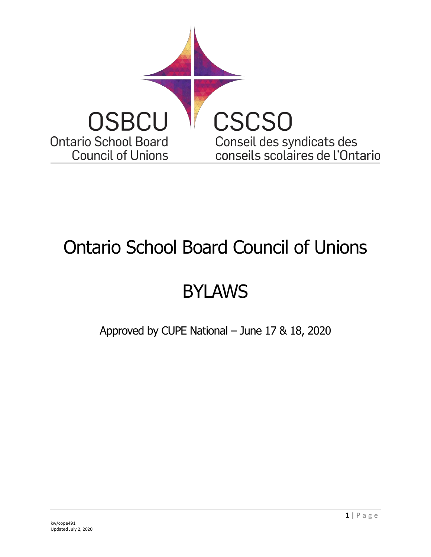

## Ontario School Board Council of Unions

# BYLAWS

Approved by CUPE National – June 17 & 18, 2020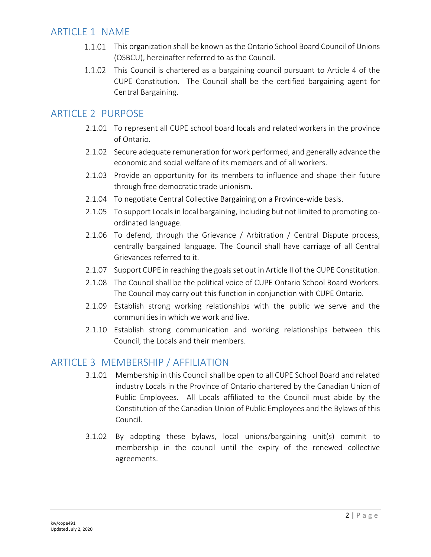## ARTICLE 1 NAME

- 1.1.01 This organization shall be known as the Ontario School Board Council of Unions (OSBCU), hereinafter referred to as the Council.
- 1.1.02 This Council is chartered as a bargaining council pursuant to Article 4 of the CUPE Constitution. The Council shall be the certified bargaining agent for Central Bargaining.

## ARTICLE 2 PURPOSE

- 2.1.01 To represent all CUPE school board locals and related workers in the province of Ontario.
- 2.1.02 Secure adequate remuneration for work performed, and generally advance the economic and social welfare of its members and of all workers.
- 2.1.03 Provide an opportunity for its members to influence and shape their future through free democratic trade unionism.
- 2.1.04 To negotiate Central Collective Bargaining on a Province-wide basis.
- 2.1.05 To support Locals in local bargaining, including but not limited to promoting coordinated language.
- 2.1.06 To defend, through the Grievance / Arbitration / Central Dispute process, centrally bargained language. The Council shall have carriage of all Central Grievances referred to it.
- 2.1.07 Support CUPE in reaching the goals set out in Article II of the CUPE Constitution.
- 2.1.08 The Council shall be the political voice of CUPE Ontario School Board Workers. The Council may carry out this function in conjunction with CUPE Ontario.
- 2.1.09 Establish strong working relationships with the public we serve and the communities in which we work and live.
- 2.1.10 Establish strong communication and working relationships between this Council, the Locals and their members.

## ARTICLE 3 MEMBERSHIP / AFFILIATION

- 3.1.01 Membership in this Council shall be open to all CUPE School Board and related industry Locals in the Province of Ontario chartered by the Canadian Union of Public Employees. All Locals affiliated to the Council must abide by the Constitution of the Canadian Union of Public Employees and the Bylaws of this Council.
- 3.1.02 By adopting these bylaws, local unions/bargaining unit(s) commit to membership in the council until the expiry of the renewed collective agreements.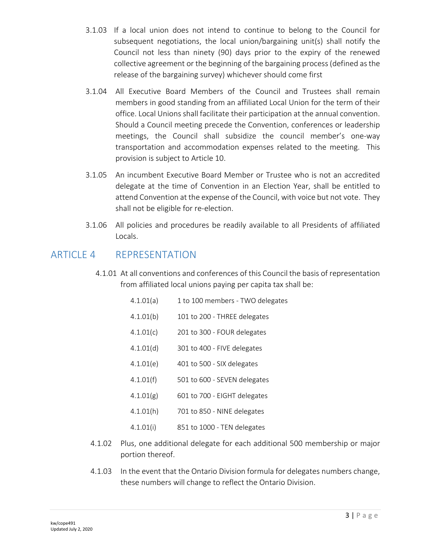- 3.1.03 If a local union does not intend to continue to belong to the Council for subsequent negotiations, the local union/bargaining unit(s) shall notify the Council not less than ninety (90) days prior to the expiry of the renewed collective agreement or the beginning of the bargaining process (defined as the release of the bargaining survey) whichever should come first
- 3.1.04 All Executive Board Members of the Council and Trustees shall remain members in good standing from an affiliated Local Union for the term of their office. Local Unions shall facilitate their participation at the annual convention. Should a Council meeting precede the Convention, conferences or leadership meetings, the Council shall subsidize the council member's one-way transportation and accommodation expenses related to the meeting. This provision is subject to Article 10.
- 3.1.05 An incumbent Executive Board Member or Trustee who is not an accredited delegate at the time of Convention in an Election Year, shall be entitled to attend Convention at the expense of the Council, with voice but not vote. They shall not be eligible for re-election.
- 3.1.06 All policies and procedures be readily available to all Presidents of affiliated Locals.

## ARTICLE 4 REPRESENTATION

4.1.01 At all conventions and conferences of this Council the basis of representation from affiliated local unions paying per capita tax shall be:

<span id="page-2-0"></span>

| 4.1.01(a) | 1 to 100 members - TWO delegates |
|-----------|----------------------------------|
| 4.1.01(b) | 101 to 200 - THREE delegates     |
| 4.1.01(c) | 201 to 300 - FOUR delegates      |
| 4.1.01(d) | 301 to 400 - FIVE delegates      |
| 4.1.01(e) | 401 to 500 - SIX delegates       |
| 4.1.01(f) | 501 to 600 - SEVEN delegates     |
| 4.1.01(g) | 601 to 700 - EIGHT delegates     |
| 4.1.01(h) | 701 to 850 - NINE delegates      |
| 4.1.01(i) | 851 to 1000 - TEN delegates      |

- 4.1.02 Plus, one additional delegate for each additional 500 membership or major portion thereof.
- 4.1.03 In the event that the Ontario Division formula for delegates numbers change, these numbers will change to reflect the Ontario Division.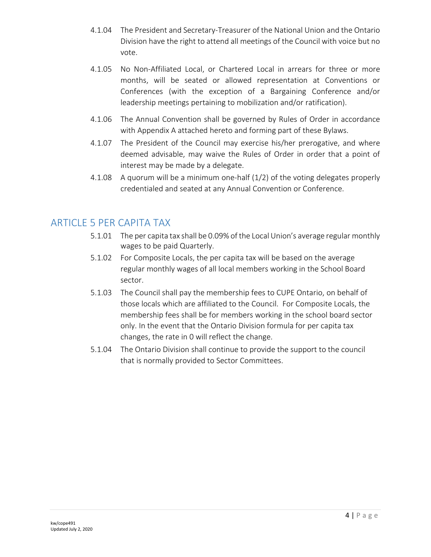- 4.1.04 The President and Secretary-Treasurer of the National Union and the Ontario Division have the right to attend all meetings of the Council with voice but no vote.
- 4.1.05 No Non-Affiliated Local, or Chartered Local in arrears for three or more months, will be seated or allowed representation at Conventions or Conferences (with the exception of a Bargaining Conference and/or leadership meetings pertaining to mobilization and/or ratification).
- 4.1.06 The Annual Convention shall be governed by Rules of Order in accordance with [Appendix A](#page-24-0) attached hereto and forming part of these Bylaws.
- 4.1.07 The President of the Council may exercise his/her prerogative, and where deemed advisable, may waive the Rules of Order in order that a point of interest may be made by a delegate.
- 4.1.08 A quorum will be a minimum one-half (1/2) of the voting delegates properly credentialed and seated at any Annual Convention or Conference.

## <span id="page-3-0"></span>ARTICLE 5 PER CAPITA TAX

- 5.1.01 The per capita tax shall be 0.09% of the Local Union's average regular monthly wages to be paid Quarterly.
- 5.1.02 For Composite Locals, the per capita tax will be based on the average regular monthly wages of all local members working in the School Board sector.
- 5.1.03 The Council shall pay the membership fees to CUPE Ontario, on behalf of those locals which are affiliated to the Council. For Composite Locals, the membership fees shall be for members working in the school board sector only. In the event that the Ontario Division formula for per capita tax changes, the rate in [0](#page-3-0) will reflect the change.
- 5.1.04 The Ontario Division shall continue to provide the support to the council that is normally provided to Sector Committees.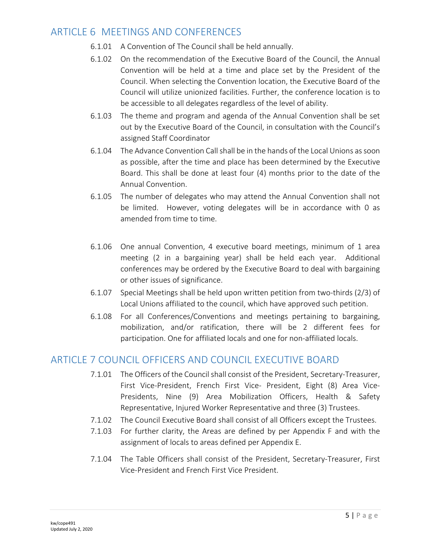## ARTICLE 6 MEETINGS AND CONFERENCES

- 6.1.01 A Convention of The Council shall be held annually.
- 6.1.02 On the recommendation of the Executive Board of the Council, the Annual Convention will be held at a time and place set by the President of the Council. When selecting the Convention location, the Executive Board of the Council will utilize unionized facilities. Further, the conference location is to be accessible to all delegates regardless of the level of ability.
- 6.1.03 The theme and program and agenda of the Annual Convention shall be set out by the Executive Board of the Council, in consultation with the Council's assigned Staff Coordinator
- 6.1.04 The Advance Convention Call shall be in the hands of the Local Unions as soon as possible, after the time and place has been determined by the Executive Board. This shall be done at least four (4) months prior to the date of the Annual Convention.
- 6.1.05 The number of delegates who may attend the Annual Convention shall not be limited. However, voting delegates will be in accordance with [0](#page-2-0) as amended from time to time.
- 6.1.06 One annual Convention, 4 executive board meetings, minimum of 1 area meeting (2 in a bargaining year) shall be held each year. Additional conferences may be ordered by the Executive Board to deal with bargaining or other issues of significance.
- 6.1.07 Special Meetings shall be held upon written petition from two-thirds (2/3) of Local Unions affiliated to the council, which have approved such petition.
- 6.1.08 For all Conferences/Conventions and meetings pertaining to bargaining, mobilization, and/or ratification, there will be 2 different fees for participation. One for affiliated locals and one for non-affiliated locals.

## ARTICLE 7 COUNCIL OFFICERS AND COUNCIL EXECUTIVE BOARD

- 7.1.01 The Officers of the Council shall consist of the President, Secretary-Treasurer, First Vice-President, French First Vice- President, Eight (8) Area Vice-Presidents, Nine (9) Area Mobilization Officers, Health & Safety Representative, Injured Worker Representative and three (3) Trustees.
- 7.1.02 The Council Executive Board shall consist of all Officers except the Trustees.
- 7.1.03 For further clarity, the Areas are defined by per Appendix F and with the assignment of locals to areas defined per Appendix E.
- 7.1.04 The Table Officers shall consist of the President, Secretary-Treasurer, First Vice-President and French First Vice President.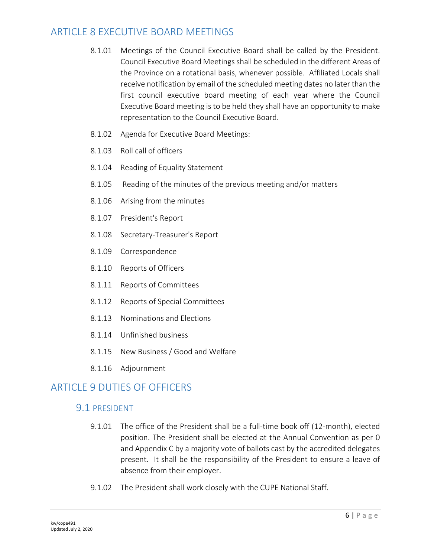## ARTICLE 8 EXECUTIVE BOARD MEETINGS

- 8.1.01 Meetings of the Council Executive Board shall be called by the President. Council Executive Board Meetings shall be scheduled in the different Areas of the Province on a rotational basis, whenever possible. Affiliated Locals shall receive notification by email of the scheduled meeting dates no later than the first council executive board meeting of each year where the Council Executive Board meeting is to be held they shall have an opportunity to make representation to the Council Executive Board.
- 8.1.02 Agenda for Executive Board Meetings:
- 8.1.03 Roll call of officers
- 8.1.04 Reading of Equality Statement
- 8.1.05 Reading of the minutes of the previous meeting and/or matters
- 8.1.06 Arising from the minutes
- 8.1.07 President's Report
- 8.1.08 Secretary-Treasurer's Report
- 8.1.09 Correspondence
- 8.1.10 Reports of Officers
- 8.1.11 Reports of Committees
- 8.1.12 Reports of Special Committees
- 8.1.13 Nominations and Elections
- 8.1.14 Unfinished business
- 8.1.15 New Business / Good and Welfare
- 8.1.16 Adjournment

## ARTICLE 9 DUTIFS OF OFFICERS

#### 9.1 PRESIDENT

- 9.1.01 The office of the President shall be a full-time book off (12-month), elected position. The President shall be elected at the Annual Convention as per [0](#page-16-0) and [Appendix C](#page-27-0) by a majority vote of ballots cast by the accredited delegates present. It shall be the responsibility of the President to ensure a leave of absence from their employer.
- 9.1.02 The President shall work closely with the CUPE National Staff.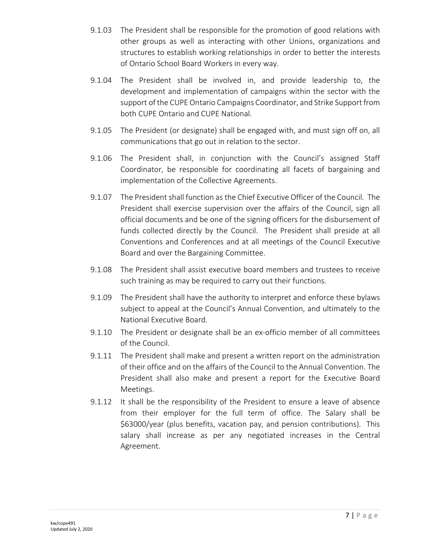- 9.1.03 The President shall be responsible for the promotion of good relations with other groups as well as interacting with other Unions, organizations and structures to establish working relationships in order to better the interests of Ontario School Board Workers in every way.
- 9.1.04 The President shall be involved in, and provide leadership to, the development and implementation of campaigns within the sector with the support of the CUPE Ontario Campaigns Coordinator, and Strike Support from both CUPE Ontario and CUPE National.
- 9.1.05 The President (or designate) shall be engaged with, and must sign off on, all communications that go out in relation to the sector.
- 9.1.06 The President shall, in conjunction with the Council's assigned Staff Coordinator, be responsible for coordinating all facets of bargaining and implementation of the Collective Agreements.
- 9.1.07 The President shall function as the Chief Executive Officer of the Council. The President shall exercise supervision over the affairs of the Council, sign all official documents and be one of the signing officers for the disbursement of funds collected directly by the Council. The President shall preside at all Conventions and Conferences and at all meetings of the Council Executive Board and over the Bargaining Committee.
- 9.1.08 The President shall assist executive board members and trustees to receive such training as may be required to carry out their functions.
- 9.1.09 The President shall have the authority to interpret and enforce these bylaws subject to appeal at the Council's Annual Convention, and ultimately to the National Executive Board.
- 9.1.10 The President or designate shall be an ex-officio member of all committees of the Council.
- 9.1.11 The President shall make and present a written report on the administration of their office and on the affairs of the Council to the Annual Convention. The President shall also make and present a report for the Executive Board Meetings.
- 9.1.12 It shall be the responsibility of the President to ensure a leave of absence from their employer for the full term of office. The Salary shall be \$63000/year (plus benefits, vacation pay, and pension contributions). This salary shall increase as per any negotiated increases in the Central Agreement.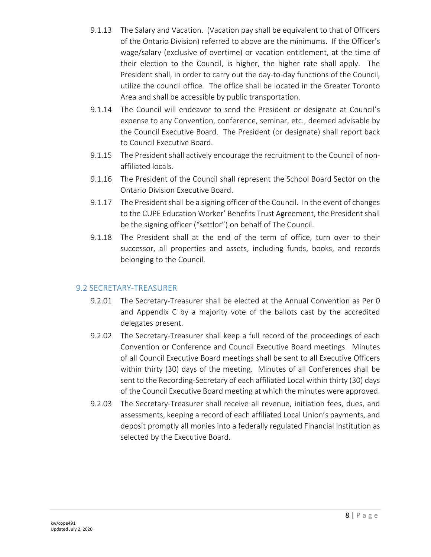- 9.1.13 The Salary and Vacation. (Vacation pay shall be equivalent to that of Officers of the Ontario Division) referred to above are the minimums. If the Officer's wage/salary (exclusive of overtime) or vacation entitlement, at the time of their election to the Council, is higher, the higher rate shall apply. The President shall, in order to carry out the day-to-day functions of the Council, utilize the council office*.* The office shall be located in the Greater Toronto Area and shall be accessible by public transportation.
- 9.1.14 The Council will endeavor to send the President or designate at Council's expense to any Convention, conference, seminar, etc., deemed advisable by the Council Executive Board. The President (or designate) shall report back to Council Executive Board.
- 9.1.15 The President shall actively encourage the recruitment to the Council of nonaffiliated locals.
- 9.1.16 The President of the Council shall represent the School Board Sector on the Ontario Division Executive Board.
- 9.1.17 The President shall be a signing officer of the Council. In the event of changes to the CUPE Education Worker' Benefits Trust Agreement, the President shall be the signing officer ("settlor") on behalf of The Council.
- 9.1.18 The President shall at the end of the term of office, turn over to their successor, all properties and assets, including funds, books, and records belonging to the Council.

#### 9.2 SECRETARY-TREASURER

- 9.2.01 The Secretary-Treasurer shall be elected at the Annual Convention as Per [0](#page-16-0) and [Appendix C](#page-27-0) by a majority vote of the ballots cast by the accredited delegates present.
- 9.2.02 The Secretary-Treasurer shall keep a full record of the proceedings of each Convention or Conference and Council Executive Board meetings. Minutes of all Council Executive Board meetings shall be sent to all Executive Officers within thirty (30) days of the meeting. Minutes of all Conferences shall be sent to the Recording-Secretary of each affiliated Local within thirty (30) days of the Council Executive Board meeting at which the minutes were approved.
- 9.2.03 The Secretary-Treasurer shall receive all revenue, initiation fees, dues, and assessments, keeping a record of each affiliated Local Union's payments, and deposit promptly all monies into a federally regulated Financial Institution as selected by the Executive Board.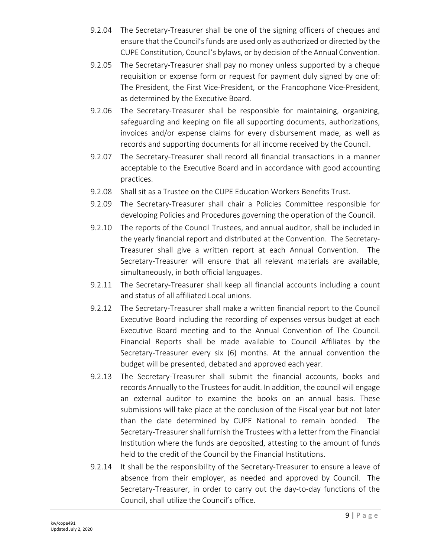- 9.2.04 The Secretary-Treasurer shall be one of the signing officers of cheques and ensure that the Council's funds are used only as authorized or directed by the CUPE Constitution, Council's bylaws, or by decision of the Annual Convention.
- 9.2.05 The Secretary-Treasurer shall pay no money unless supported by a cheque requisition or expense form or request for payment duly signed by one of: The President, the First Vice-President, or the Francophone Vice-President, as determined by the Executive Board.
- 9.2.06 The Secretary-Treasurer shall be responsible for maintaining, organizing, safeguarding and keeping on file all supporting documents, authorizations, invoices and/or expense claims for every disbursement made, as well as records and supporting documents for all income received by the Council.
- 9.2.07 The Secretary-Treasurer shall record all financial transactions in a manner acceptable to the Executive Board and in accordance with good accounting practices.
- 9.2.08 Shall sit as a Trustee on the CUPE Education Workers Benefits Trust.
- 9.2.09 The Secretary-Treasurer shall chair a Policies Committee responsible for developing Policies and Procedures governing the operation of the Council.
- 9.2.10 The reports of the Council Trustees, and annual auditor, shall be included in the yearly financial report and distributed at the Convention. The Secretary-Treasurer shall give a written report at each Annual Convention. The Secretary-Treasurer will ensure that all relevant materials are available, simultaneously, in both official languages.
- 9.2.11 The Secretary-Treasurer shall keep all financial accounts including a count and status of all affiliated Local unions.
- 9.2.12 The Secretary-Treasurer shall make a written financial report to the Council Executive Board including the recording of expenses versus budget at each Executive Board meeting and to the Annual Convention of The Council. Financial Reports shall be made available to Council Affiliates by the Secretary-Treasurer every six (6) months. At the annual convention the budget will be presented, debated and approved each year.
- 9.2.13 The Secretary-Treasurer shall submit the financial accounts, books and records Annually to the Trustees for audit. In addition, the council will engage an external auditor to examine the books on an annual basis. These submissions will take place at the conclusion of the Fiscal year but not later than the date determined by CUPE National to remain bonded. The Secretary-Treasurer shall furnish the Trustees with a letter from the Financial Institution where the funds are deposited, attesting to the amount of funds held to the credit of the Council by the Financial Institutions.
- 9.2.14 It shall be the responsibility of the Secretary-Treasurer to ensure a leave of absence from their employer, as needed and approved by Council. The Secretary-Treasurer, in order to carry out the day-to-day functions of the Council, shall utilize the Council's office.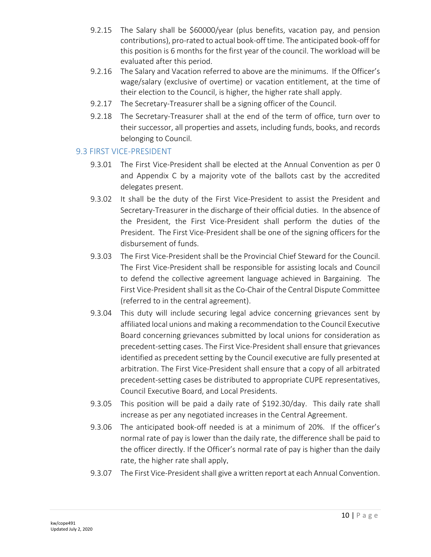- 9.2.15 The Salary shall be \$60000/year (plus benefits, vacation pay, and pension contributions), pro-rated to actual book-off time. The anticipated book-off for this position is 6 months for the first year of the council. The workload will be evaluated after this period.
- 9.2.16 The Salary and Vacation referred to above are the minimums. If the Officer's wage/salary (exclusive of overtime) or vacation entitlement, at the time of their election to the Council, is higher, the higher rate shall apply.
- 9.2.17 The Secretary-Treasurer shall be a signing officer of the Council.
- 9.2.18 The Secretary-Treasurer shall at the end of the term of office, turn over to their successor, all properties and assets, including funds, books, and records belonging to Council.

#### 9.3 FIRST VICE-PRESIDENT

- 9.3.01 The First Vice-President shall be elected at the Annual Convention as per [0](#page-16-0)  and [Appendix C](#page-27-0) by a majority vote of the ballots cast by the accredited delegates present.
- 9.3.02 It shall be the duty of the First Vice-President to assist the President and Secretary-Treasurer in the discharge of their official duties. In the absence of the President, the First Vice-President shall perform the duties of the President. The First Vice-President shall be one of the signing officers for the disbursement of funds.
- 9.3.03 The First Vice-President shall be the Provincial Chief Steward for the Council. The First Vice-President shall be responsible for assisting locals and Council to defend the collective agreement language achieved in Bargaining. The First Vice-President shall sit as the Co-Chair of the Central Dispute Committee (referred to in the central agreement).
- 9.3.04 This duty will include securing legal advice concerning grievances sent by affiliated local unions and making a recommendation to the Council Executive Board concerning grievances submitted by local unions for consideration as precedent-setting cases. The First Vice-President shall ensure that grievances identified as precedent setting by the Council executive are fully presented at arbitration. The First Vice-President shall ensure that a copy of all arbitrated precedent-setting cases be distributed to appropriate CUPE representatives, Council Executive Board, and Local Presidents.
- 9.3.05 This position will be paid a daily rate of \$192.30/day. This daily rate shall increase as per any negotiated increases in the Central Agreement.
- 9.3.06 The anticipated book-off needed is at a minimum of 20%. If the officer's normal rate of pay is lower than the daily rate, the difference shall be paid to the officer directly. If the Officer's normal rate of pay is higher than the daily rate, the higher rate shall apply.
- 9.3.07 The First Vice-President shall give a written report at each Annual Convention.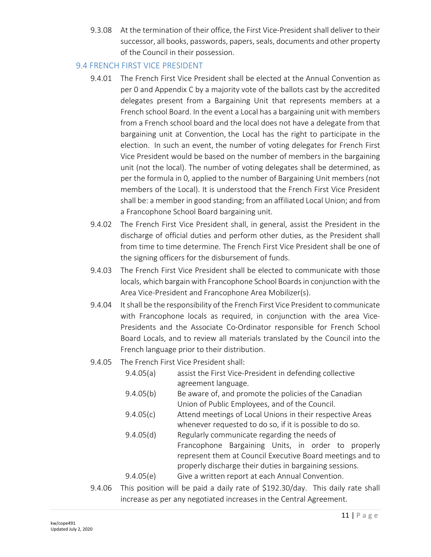9.3.08 At the termination of their office, the First Vice-President shall deliver to their successor, all books, passwords, papers, seals, documents and other property of the Council in their possession.

#### <span id="page-10-0"></span>9.4 FRENCH FIRST VICE PRESIDENT

- 9.4.01 The French First Vice President shall be elected at the Annual Convention as per [0](#page-16-0) and [Appendix C](#page-27-0) by a majority vote of the ballots cast by the accredited delegates present from a Bargaining Unit that represents members at a French school Board. In the event a Local has a bargaining unit with members from a French school board and the local does not have a delegate from that bargaining unit at Convention, the Local has the right to participate in the election. In such an event, the number of voting delegates for French First Vice President would be based on the number of members in the bargaining unit (not the local). The number of voting delegates shall be determined, as per the formula in [0,](#page-2-0) applied to the number of Bargaining Unit members (not members of the Local). It is understood that the French First Vice President shall be: a member in good standing; from an affiliated Local Union; and from a Francophone School Board bargaining unit.
- 9.4.02 The French First Vice President shall, in general, assist the President in the discharge of official duties and perform other duties, as the President shall from time to time determine. The French First Vice President shall be one of the signing officers for the disbursement of funds.
- 9.4.03 The French First Vice President shall be elected to communicate with those locals, which bargain with Francophone School Boards in conjunction with the Area Vice-President and Francophone Area Mobilizer(s).
- 9.4.04 It shall be the responsibility of the French First Vice President to communicate with Francophone locals as required, in conjunction with the area Vice-Presidents and the Associate Co-Ordinator responsible for French School Board Locals, and to review all materials translated by the Council into the French language prior to their distribution.
- 9.4.05 The French First Vice President shall:
	- 9.4.05(a) assist the First Vice-President in defending collective agreement language.
	- 9.4.05(b) Be aware of, and promote the policies of the Canadian Union of Public Employees, and of the Council.
	- 9.4.05(c) Attend meetings of Local Unions in their respective Areas whenever requested to do so, if it is possible to do so.
	- 9.4.05(d) Regularly communicate regarding the needs of Francophone Bargaining Units, in order to properly represent them at Council Executive Board meetings and to properly discharge their duties in bargaining sessions.
	- 9.4.05(e) Give a written report at each Annual Convention.
- 9.4.06 This position will be paid a daily rate of \$192.30/day. This daily rate shall increase as per any negotiated increases in the Central Agreement.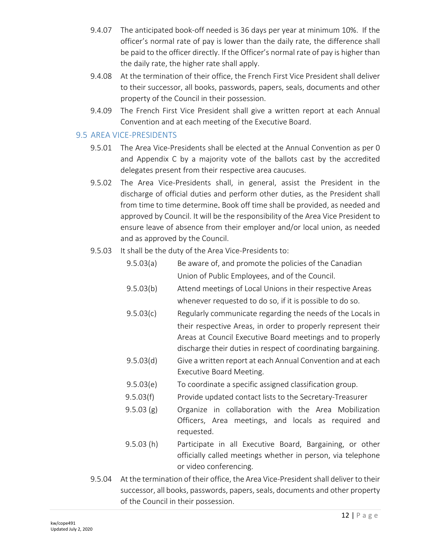- 9.4.07 The anticipated book-off needed is 36 days per year at minimum 10%. If the officer's normal rate of pay is lower than the daily rate, the difference shall be paid to the officer directly. If the Officer's normal rate of pay is higher than the daily rate, the higher rate shall apply.
- 9.4.08 At the termination of their office, the French First Vice President shall deliver to their successor, all books, passwords, papers, seals, documents and other property of the Council in their possession.
- 9.4.09 The French First Vice President shall give a written report at each Annual Convention and at each meeting of the Executive Board.

#### 9.5 AREA VICE-PRESIDENTS

- 9.5.01 The Area Vice-Presidents shall be elected at the Annual Convention as per [0](#page-16-0) and [Appendix C](#page-27-0) by a majority vote of the ballots cast by the accredited delegates present from their respective area caucuses.
- 9.5.02 The Area Vice-Presidents shall, in general, assist the President in the discharge of official duties and perform other duties, as the President shall from time to time determine. Book off time shall be provided, as needed and approved by Council. It will be the responsibility of the Area Vice President to ensure leave of absence from their employer and/or local union, as needed and as approved by the Council.
- 9.5.03 It shall be the duty of the Area Vice-Presidents to:
	- 9.5.03(a) Be aware of, and promote the policies of the Canadian Union of Public Employees, and of the Council.
	- 9.5.03(b) Attend meetings of Local Unions in their respective Areas whenever requested to do so, if it is possible to do so.
	- 9.5.03(c) Regularly communicate regarding the needs of the Locals in their respective Areas, in order to properly represent their Areas at Council Executive Board meetings and to properly discharge their duties in respect of coordinating bargaining.
	- 9.5.03(d) Give a written report at each Annual Convention and at each Executive Board Meeting.
	- 9.5.03(e) To coordinate a specific assigned classification group.
	- 9.5.03(f) Provide updated contact lists to the Secretary-Treasurer
	- 9.5.03 (g) Organize in collaboration with the Area Mobilization Officers, Area meetings, and locals as required and requested.
	- 9.5.03 (h) Participate in all Executive Board, Bargaining, or other officially called meetings whether in person, via telephone or video conferencing.
- 9.5.04 At the termination of their office, the Area Vice-President shall deliver to their successor, all books, passwords, papers, seals, documents and other property of the Council in their possession.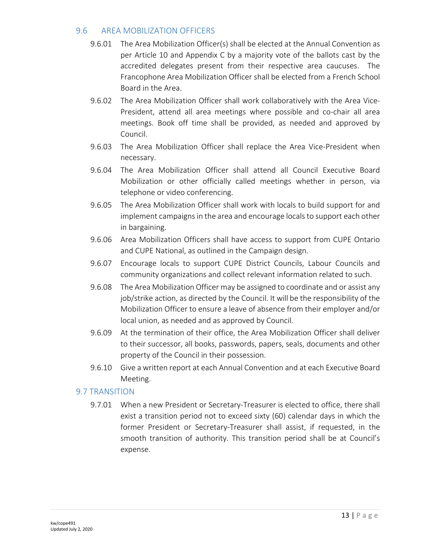#### 9.6 AREA MOBILIZATION OFFICERS

- 9.6.01 The Area Mobilization Officer(s) shall be elected at the Annual Convention as per Article 10 and [Appendix C](#page-27-0) by a majority vote of the ballots cast by the accredited delegates present from their respective area caucuses. The Francophone Area Mobilization Officer shall be elected from a French School Board in the Area.
- 9.6.02 The Area Mobilization Officer shall work collaboratively with the Area Vice-President, attend all area meetings where possible and co-chair all area meetings. Book off time shall be provided, as needed and approved by Council.
- 9.6.03 The Area Mobilization Officer shall replace the Area Vice-President when necessary.
- 9.6.04 The Area Mobilization Officer shall attend all Council Executive Board Mobilization or other officially called meetings whether in person, via telephone or video conferencing.
- 9.6.05 The Area Mobilization Officer shall work with locals to build support for and implement campaigns in the area and encourage locals to support each other in bargaining.
- 9.6.06 Area Mobilization Officers shall have access to support from CUPE Ontario and CUPE National, as outlined in the Campaign design.
- 9.6.07 Encourage locals to support CUPE District Councils, Labour Councils and community organizations and collect relevant information related to such.
- 9.6.08 The Area Mobilization Officer may be assigned to coordinate and or assist any job/strike action, as directed by the Council. It will be the responsibility of the Mobilization Officer to ensure a leave of absence from their employer and/or local union, as needed and as approved by Council.
- 9.6.09 At the termination of their office, the Area Mobilization Officer shall deliver to their successor, all books, passwords, papers, seals, documents and other property of the Council in their possession.
- 9.6.10 Give a written report at each Annual Convention and at each Executive Board Meeting.

#### 9.7 TRANSITION

9.7.01 When a new President or Secretary-Treasurer is elected to office, there shall exist a transition period not to exceed sixty (60) calendar days in which the former President or Secretary-Treasurer shall assist, if requested, in the smooth transition of authority. This transition period shall be at Council's expense.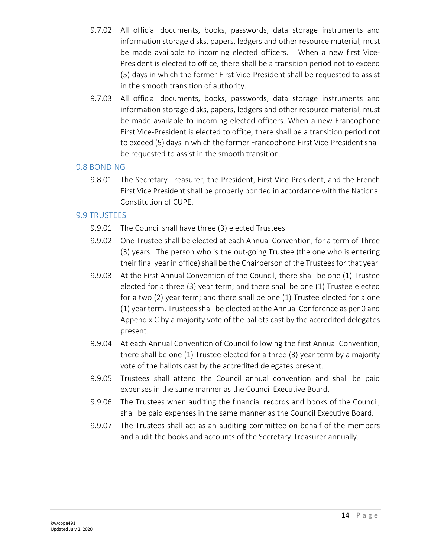- 9.7.02 All official documents, books, passwords, data storage instruments and information storage disks, papers, ledgers and other resource material, must be made available to incoming elected officers. When a new first Vice-President is elected to office, there shall be a transition period not to exceed (5) days in which the former First Vice-President shall be requested to assist in the smooth transition of authority.
- 9.7.03 All official documents, books, passwords, data storage instruments and information storage disks, papers, ledgers and other resource material, must be made available to incoming elected officers. When a new Francophone First Vice-President is elected to office, there shall be a transition period not to exceed (5) days in which the former Francophone First Vice-President shall be requested to assist in the smooth transition.

#### 9.8 BONDING

9.8.01 The Secretary-Treasurer, the President, First Vice-President, and the French First Vice President shall be properly bonded in accordance with the National Constitution of CUPE.

#### 9.9 TRUSTEES

- 9.9.01 The Council shall have three (3) elected Trustees.
- 9.9.02 One Trustee shall be elected at each Annual Convention, for a term of Three (3) years. The person who is the out-going Trustee (the one who is entering their final year in office) shall be the Chairperson of the Trustees for that year.
- 9.9.03 At the First Annual Convention of the Council, there shall be one (1) Trustee elected for a three (3) year term; and there shall be one (1) Trustee elected for a two (2) year term; and there shall be one (1) Trustee elected for a one (1) year term. Trustees shall be elected at the Annual Conference as pe[r 0](#page-16-0) and [Appendix C](#page-27-0) by a majority vote of the ballots cast by the accredited delegates present.
- 9.9.04 At each Annual Convention of Council following the first Annual Convention, there shall be one (1) Trustee elected for a three (3) year term by a majority vote of the ballots cast by the accredited delegates present.
- 9.9.05 Trustees shall attend the Council annual convention and shall be paid expenses in the same manner as the Council Executive Board.
- 9.9.06 The Trustees when auditing the financial records and books of the Council, shall be paid expenses in the same manner as the Council Executive Board.
- 9.9.07 The Trustees shall act as an auditing committee on behalf of the members and audit the books and accounts of the Secretary-Treasurer annually.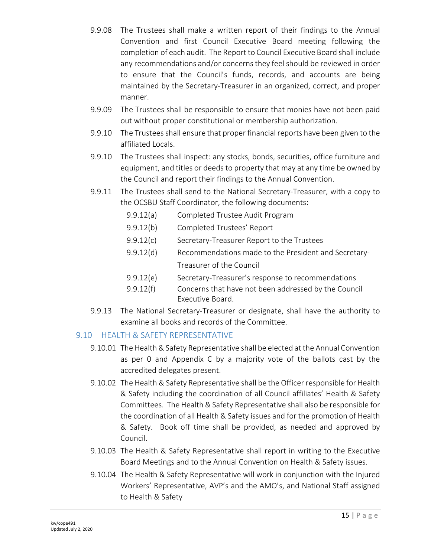- 9.9.08 The Trustees shall make a written report of their findings to the Annual Convention and first Council Executive Board meeting following the completion of each audit. The Report to Council Executive Board shall include any recommendations and/or concerns they feel should be reviewed in order to ensure that the Council's funds, records, and accounts are being maintained by the Secretary-Treasurer in an organized, correct, and proper manner.
- 9.9.09 The Trustees shall be responsible to ensure that monies have not been paid out without proper constitutional or membership authorization.
- 9.9.10 The Trustees shall ensure that proper financial reports have been given to the affiliated Locals.
- 9.9.10 The Trustees shall inspect: any stocks, bonds, securities, office furniture and equipment, and titles or deeds to property that may at any time be owned by the Council and report their findings to the Annual Convention.
- 9.9.11 The Trustees shall send to the National Secretary-Treasurer, with a copy to the OCSBU Staff Coordinator, the following documents:
	- 9.9.12(a) Completed Trustee Audit Program
	- 9.9.12(b) Completed Trustees' Report
	- 9.9.12(c) Secretary-Treasurer Report to the Trustees
	- 9.9.12(d) Recommendations made to the President and Secretary-Treasurer of the Council
	- 9.9.12(e) Secretary-Treasurer's response to recommendations
	- 9.9.12(f) Concerns that have not been addressed by the Council Executive Board.
- 9.9.13 The National Secretary-Treasurer or designate, shall have the authority to examine all books and records of the Committee.

#### 9.10 HEALTH & SAFETY REPRESENTATIVE

- 9.10.01 The Health & Safety Representative shall be elected at the Annual Convention as per [0](#page-16-0) and [Appendix C](#page-27-0) by a majority vote of the ballots cast by the accredited delegates present.
- 9.10.02 The Health & Safety Representative shall be the Officer responsible for Health & Safety including the coordination of all Council affiliates' Health & Safety Committees. The Health & Safety Representative shall also be responsible for the coordination of all Health & Safety issues and for the promotion of Health & Safety. Book off time shall be provided, as needed and approved by Council.
- 9.10.03 The Health & Safety Representative shall report in writing to the Executive Board Meetings and to the Annual Convention on Health & Safety issues.
- 9.10.04 The Health & Safety Representative will work in conjunction with the Injured Workers' Representative, AVP's and the AMO's, and National Staff assigned to Health & Safety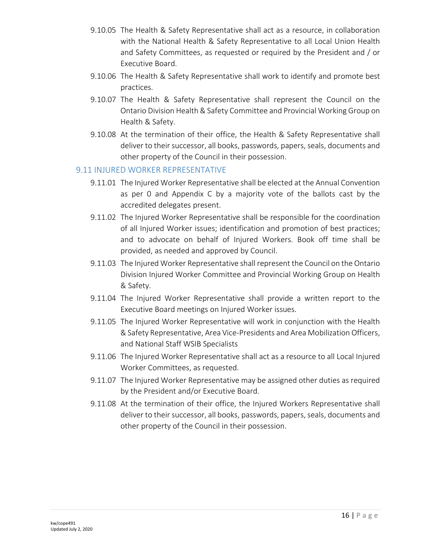- 9.10.05 The Health & Safety Representative shall act as a resource, in collaboration with the National Health & Safety Representative to all Local Union Health and Safety Committees, as requested or required by the President and / or Executive Board.
- 9.10.06 The Health & Safety Representative shall work to identify and promote best practices.
- 9.10.07 The Health & Safety Representative shall represent the Council on the Ontario Division Health & Safety Committee and Provincial Working Group on Health & Safety.
- 9.10.08 At the termination of their office, the Health & Safety Representative shall deliver to their successor, all books, passwords, papers, seals, documents and other property of the Council in their possession.

#### 9.11 INJURED WORKER REPRESENTATIVE

- 9.11.01 The Injured Worker Representative shall be elected at the Annual Convention as per [0](#page-16-0) and [Appendix C](#page-27-0) by a majority vote of the ballots cast by the accredited delegates present.
- 9.11.02 The Injured Worker Representative shall be responsible for the coordination of all Injured Worker issues; identification and promotion of best practices; and to advocate on behalf of Injured Workers. Book off time shall be provided, as needed and approved by Council.
- 9.11.03 The Injured Worker Representative shall represent the Council on the Ontario Division Injured Worker Committee and Provincial Working Group on Health & Safety.
- 9.11.04 The Injured Worker Representative shall provide a written report to the Executive Board meetings on Injured Worker issues.
- 9.11.05 The Injured Worker Representative will work in conjunction with the Health & Safety Representative, Area Vice-Presidents and Area Mobilization Officers, and National Staff WSIB Specialists
- 9.11.06 The Injured Worker Representative shall act as a resource to all Local Injured Worker Committees, as requested.
- 9.11.07 The Injured Worker Representative may be assigned other duties as required by the President and/or Executive Board.
- 9.11.08 At the termination of their office, the Injured Workers Representative shall deliver to their successor, all books, passwords, papers, seals, documents and other property of the Council in their possession.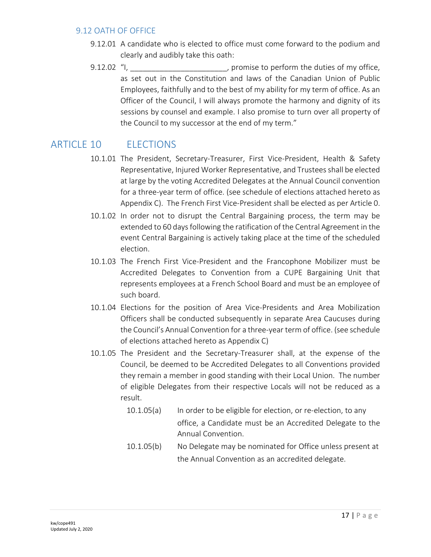#### 9.12 OATH OF OFFICE

- 9.12.01 A candidate who is elected to office must come forward to the podium and clearly and audibly take this oath:
- 9.12.02 "I, we can consider the perform the duties of my office, as set out in the Constitution and laws of the Canadian Union of Public Employees, faithfully and to the best of my ability for my term of office. As an Officer of the Council, I will always promote the harmony and dignity of its sessions by counsel and example. I also promise to turn over all property of the Council to my successor at the end of my term."

## ARTICLE 10 FLECTIONS

- <span id="page-16-0"></span>10.1.01 The President, Secretary-Treasurer, First Vice-President, Health & Safety Representative, Injured Worker Representative, and Trustees shall be elected at large by the voting Accredited Delegates at the Annual Council convention for a three-year term of office. (see schedule of elections attached hereto as [Appendix C\)](#page-27-0). The French First Vice-President shall be elected as per Article [0.](#page-10-0)
- 10.1.02 In order not to disrupt the Central Bargaining process, the term may be extended to 60 days following the ratification of the Central Agreement in the event Central Bargaining is actively taking place at the time of the scheduled election.
- 10.1.03 The French First Vice-President and the Francophone Mobilizer must be Accredited Delegates to Convention from a CUPE Bargaining Unit that represents employees at a French School Board and must be an employee of such board.
- 10.1.04 Elections for the position of Area Vice-Presidents and Area Mobilization Officers shall be conducted subsequently in separate Area Caucuses during the Council's Annual Convention for a three-year term of office. (see schedule of elections attached hereto as [Appendix C\)](#page-27-0)
- 10.1.05 The President and the Secretary-Treasurer shall, at the expense of the Council, be deemed to be Accredited Delegates to all Conventions provided they remain a member in good standing with their Local Union. The number of eligible Delegates from their respective Locals will not be reduced as a result.
	- 10.1.05(a) In order to be eligible for election, or re-election, to any office, a Candidate must be an Accredited Delegate to the Annual Convention.
	- 10.1.05(b) No Delegate may be nominated for Office unless present at the Annual Convention as an accredited delegate.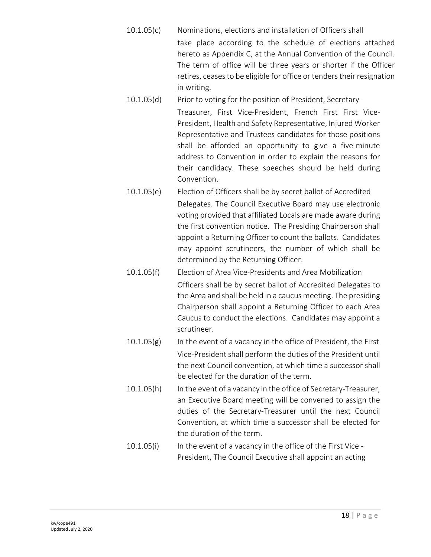- 10.1.05(c) Nominations, elections and installation of Officers shall take place according to the schedule of elections attached hereto as [Appendix C,](#page-27-0) at the Annual Convention of the Council. The term of office will be three years or shorter if the Officer retires, ceases to be eligible for office or tenders their resignation in writing.
- 10.1.05(d) Prior to voting for the position of President, Secretary-Treasurer, First Vice-President, French First First Vice-President, Health and Safety Representative, Injured Worker Representative and Trustees candidates for those positions shall be afforded an opportunity to give a five-minute address to Convention in order to explain the reasons for their candidacy. These speeches should be held during Convention.
- 10.1.05(e) Election of Officers shall be by secret ballot of Accredited Delegates. The Council Executive Board may use electronic voting provided that affiliated Locals are made aware during the first convention notice. The Presiding Chairperson shall appoint a Returning Officer to count the ballots. Candidates may appoint scrutineers, the number of which shall be determined by the Returning Officer.
- 10.1.05(f) Election of Area Vice-Presidents and Area Mobilization Officers shall be by secret ballot of Accredited Delegates to the Area and shall be held in a caucus meeting. The presiding Chairperson shall appoint a Returning Officer to each Area Caucus to conduct the elections. Candidates may appoint a scrutineer.
- $10.1.05(g)$  In the event of a vacancy in the office of President, the First Vice-President shall perform the duties of the President until the next Council convention, at which time a successor shall be elected for the duration of the term.
- 10.1.05(h) In the event of a vacancy in the office of Secretary-Treasurer, an Executive Board meeting will be convened to assign the duties of the Secretary-Treasurer until the next Council Convention, at which time a successor shall be elected for the duration of the term.
- 10.1.05(i) In the event of a vacancy in the office of the First Vice President, The Council Executive shall appoint an acting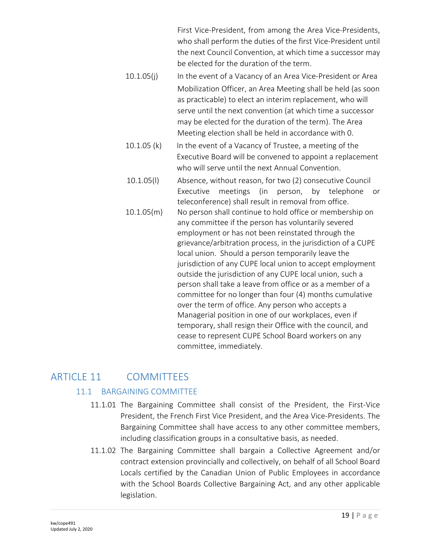First Vice-President, from among the Area Vice-Presidents, who shall perform the duties of the first Vice-President until the next Council Convention, at which time a successor may be elected for the duration of the term.

- 10.1.05(j) In the event of a Vacancy of an Area Vice-President or Area Mobilization Officer, an Area Meeting shall be held (as soon as practicable) to elect an interim replacement, who will serve until the next convention (at which time a successor may be elected for the duration of the term). The Area Meeting election shall be held in accordance with [0.](#page-2-0)
- 10.1.05 (k) In the event of a Vacancy of Trustee, a meeting of the Executive Board will be convened to appoint a replacement who will serve until the next Annual Convention.
- 10.1.05(l) Absence, without reason, for two (2) consecutive Council Executive meetings (in person, by telephone or teleconference) shall result in removal from office. 10.1.05(m) No person shall continue to hold office or membership on any committee if the person has voluntarily severed employment or has not been reinstated through the grievance/arbitration process, in the jurisdiction of a CUPE local union. Should a person temporarily leave the jurisdiction of any CUPE local union to accept employment outside the jurisdiction of any CUPE local union, such a person shall take a leave from office or as a member of a committee for no longer than four (4) months cumulative over the term of office. Any person who accepts a Managerial position in one of our workplaces, even if temporary, shall resign their Office with the council, and cease to represent CUPE School Board workers on any committee, immediately.

## ARTICLE 11 COMMITTEES

#### 11.1 BARGAINING COMMITTEE

- 11.1.01 The Bargaining Committee shall consist of the President, the First-Vice President, the French First Vice President, and the Area Vice-Presidents. The Bargaining Committee shall have access to any other committee members, including classification groups in a consultative basis, as needed.
- 11.1.02 The Bargaining Committee shall bargain a Collective Agreement and/or contract extension provincially and collectively, on behalf of all School Board Locals certified by the Canadian Union of Public Employees in accordance with the School Boards Collective Bargaining Act, and any other applicable legislation.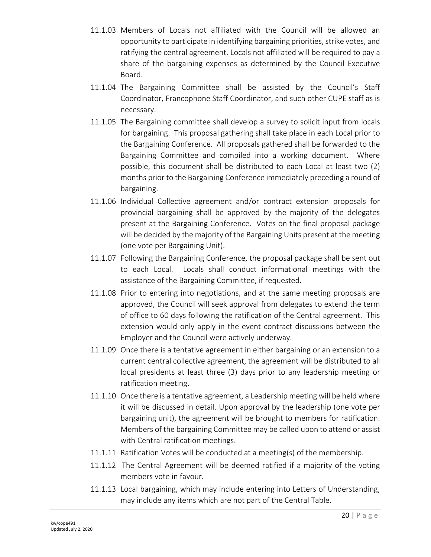- 11.1.03 Members of Locals not affiliated with the Council will be allowed an opportunity to participate in identifying bargaining priorities, strike votes, and ratifying the central agreement. Locals not affiliated will be required to pay a share of the bargaining expenses as determined by the Council Executive Board.
- 11.1.04 The Bargaining Committee shall be assisted by the Council's Staff Coordinator, Francophone Staff Coordinator, and such other CUPE staff as is necessary.
- 11.1.05 The Bargaining committee shall develop a survey to solicit input from locals for bargaining. This proposal gathering shall take place in each Local prior to the Bargaining Conference. All proposals gathered shall be forwarded to the Bargaining Committee and compiled into a working document. Where possible, this document shall be distributed to each Local at least two (2) months prior to the Bargaining Conference immediately preceding a round of bargaining.
- 11.1.06 Individual Collective agreement and/or contract extension proposals for provincial bargaining shall be approved by the majority of the delegates present at the Bargaining Conference. Votes on the final proposal package will be decided by the majority of the Bargaining Units present at the meeting (one vote per Bargaining Unit).
- 11.1.07 Following the Bargaining Conference, the proposal package shall be sent out to each Local. Locals shall conduct informational meetings with the assistance of the Bargaining Committee, if requested.
- 11.1.08 Prior to entering into negotiations, and at the same meeting proposals are approved, the Council will seek approval from delegates to extend the term of office to 60 days following the ratification of the Central agreement. This extension would only apply in the event contract discussions between the Employer and the Council were actively underway.
- 11.1.09 Once there is a tentative agreement in either bargaining or an extension to a current central collective agreement, the agreement will be distributed to all local presidents at least three (3) days prior to any leadership meeting or ratification meeting.
- 11.1.10 Once there is a tentative agreement, a Leadership meeting will be held where it will be discussed in detail. Upon approval by the leadership (one vote per bargaining unit), the agreement will be brought to members for ratification. Members of the bargaining Committee may be called upon to attend or assist with Central ratification meetings.
- 11.1.11 Ratification Votes will be conducted at a meeting(s) of the membership.
- 11.1.12 The Central Agreement will be deemed ratified if a majority of the voting members vote in favour.
- 11.1.13 Local bargaining, which may include entering into Letters of Understanding, may include any items which are not part of the Central Table.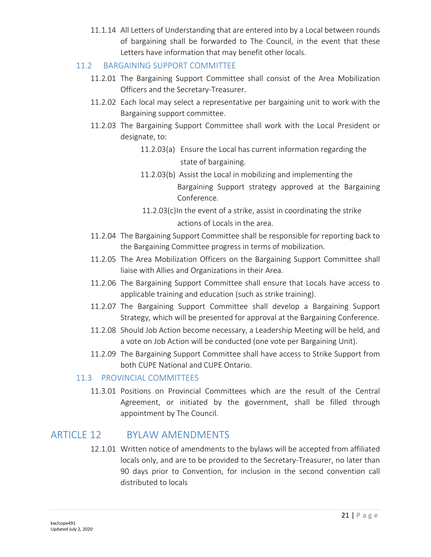11.1.14 All Letters of Understanding that are entered into by a Local between rounds of bargaining shall be forwarded to The Council, in the event that these Letters have information that may benefit other locals.

### 11.2 BARGAINING SUPPORT COMMITTEE

- 11.2.01 The Bargaining Support Committee shall consist of the Area Mobilization Officers and the Secretary-Treasurer.
- 11.2.02 Each local may select a representative per bargaining unit to work with the Bargaining support committee.
- 11.2.03 The Bargaining Support Committee shall work with the Local President or designate, to:
	- 11.2.03(a) Ensure the Local has current information regarding the state of bargaining.
	- 11.2.03(b) Assist the Local in mobilizing and implementing the Bargaining Support strategy approved at the Bargaining Conference.
	- $11.2.03(c)$ In the event of a strike, assist in coordinating the strike actions of Locals in the area.
- 11.2.04 The Bargaining Support Committee shall be responsible for reporting back to the Bargaining Committee progress in terms of mobilization.
- 11.2.05 The Area Mobilization Officers on the Bargaining Support Committee shall liaise with Allies and Organizations in their Area.
- 11.2.06 The Bargaining Support Committee shall ensure that Locals have access to applicable training and education (such as strike training).
- 11.2.07 The Bargaining Support Committee shall develop a Bargaining Support Strategy, which will be presented for approval at the Bargaining Conference.
- 11.2.08 Should Job Action become necessary, a Leadership Meeting will be held, and a vote on Job Action will be conducted (one vote per Bargaining Unit).
- 11.2.09 The Bargaining Support Committee shall have access to Strike Support from both CUPE National and CUPE Ontario.

#### 11.3 PROVINCIAL COMMITTEES

11.3.01 Positions on Provincial Committees which are the result of the Central Agreement, or initiated by the government, shall be filled through appointment by The Council.

## ARTICLE 12 BYLAW AMENDMENTS

12.1.01 Written notice of amendments to the bylaws will be accepted from affiliated locals only, and are to be provided to the Secretary-Treasurer, no later than 90 days prior to Convention, for inclusion in the second convention call distributed to locals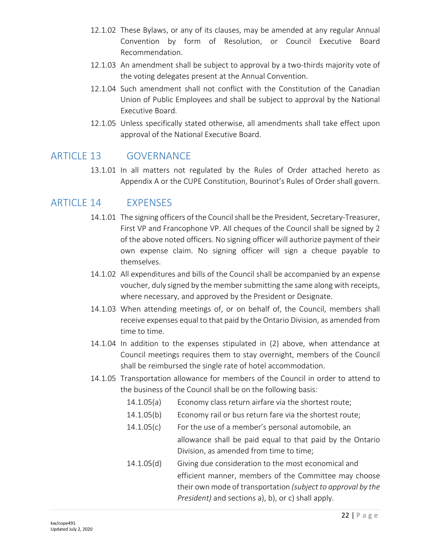- 12.1.02 These Bylaws, or any of its clauses, may be amended at any regular Annual Convention by form of Resolution, or Council Executive Board Recommendation.
- 12.1.03 An amendment shall be subject to approval by a two-thirds majority vote of the voting delegates present at the Annual Convention.
- 12.1.04 Such amendment shall not conflict with the Constitution of the Canadian Union of Public Employees and shall be subject to approval by the National Executive Board.
- 12.1.05 Unless specifically stated otherwise, all amendments shall take effect upon approval of the National Executive Board.

## ARTICLE 13 GOVERNANCE

13.1.01 In all matters not regulated by the Rules of Order attached hereto as [Appendix A](#page-24-0) or the CUPE Constitution, Bourinot's Rules of Order shall govern.

## ARTICLE 14 EXPENSES

- 14.1.01 The signing officers of the Council shall be the President, Secretary-Treasurer, First VP and Francophone VP. All cheques of the Council shall be signed by 2 of the above noted officers. No signing officer will authorize payment of their own expense claim. No signing officer will sign a cheque payable to themselves.
- 14.1.02 All expenditures and bills of the Council shall be accompanied by an expense voucher, duly signed by the member submitting the same along with receipts, where necessary, and approved by the President or Designate.
- 14.1.03 When attending meetings of, or on behalf of, the Council, members shall receive expenses equal to that paid by the Ontario Division, as amended from time to time.
- 14.1.04 In addition to the expenses stipulated in (2) above, when attendance at Council meetings requires them to stay overnight, members of the Council shall be reimbursed the single rate of hotel accommodation.
- 14.1.05 Transportation allowance for members of the Council in order to attend to the business of the Council shall be on the following basis:
	- 14.1.05(a) Economy class return airfare via the shortest route;
	- 14.1.05(b) Economy rail or bus return fare via the shortest route;
	- 14.1.05(c) For the use of a member's personal automobile, an allowance shall be paid equal to that paid by the Ontario Division, as amended from time to time;
	- 14.1.05(d) Giving due consideration to the most economical and efficient manner, members of the Committee may choose their own mode of transportation *(subject to approval by the President)* and sections a), b), or c) shall apply.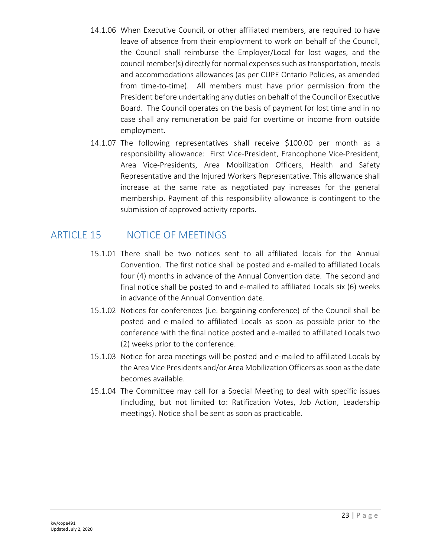- 14.1.06 When Executive Council, or other affiliated members, are required to have leave of absence from their employment to work on behalf of the Council, the Council shall reimburse the Employer/Local for lost wages, and the council member(s) directly for normal expenses such as transportation, meals and accommodations allowances (as per CUPE Ontario Policies, as amended from time-to-time). All members must have prior permission from the President before undertaking any duties on behalf of the Council or Executive Board. The Council operates on the basis of payment for lost time and in no case shall any remuneration be paid for overtime or income from outside employment.
- 14.1.07 The following representatives shall receive \$100.00 per month as a responsibility allowance: First Vice-President, Francophone Vice-President, Area Vice-Presidents, Area Mobilization Officers, Health and Safety Representative and the Injured Workers Representative. This allowance shall increase at the same rate as negotiated pay increases for the general membership. Payment of this responsibility allowance is contingent to the submission of approved activity reports.

## ARTICLE 15 NOTICE OF MEETINGS

- 15.1.01 There shall be two notices sent to all affiliated locals for the Annual Convention. The first notice shall be posted and e-mailed to affiliated Locals four (4) months in advance of the Annual Convention date. The second and final notice shall be posted to and e-mailed to affiliated Locals six (6) weeks in advance of the Annual Convention date.
- 15.1.02 Notices for conferences (i.e. bargaining conference) of the Council shall be posted and e-mailed to affiliated Locals as soon as possible prior to the conference with the final notice posted and e-mailed to affiliated Locals two (2) weeks prior to the conference.
- 15.1.03 Notice for area meetings will be posted and e-mailed to affiliated Locals by the Area Vice Presidents and/or Area Mobilization Officers as soon as the date becomes available.
- 15.1.04 The Committee may call for a Special Meeting to deal with specific issues (including, but not limited to: Ratification Votes, Job Action, Leadership meetings). Notice shall be sent as soon as practicable.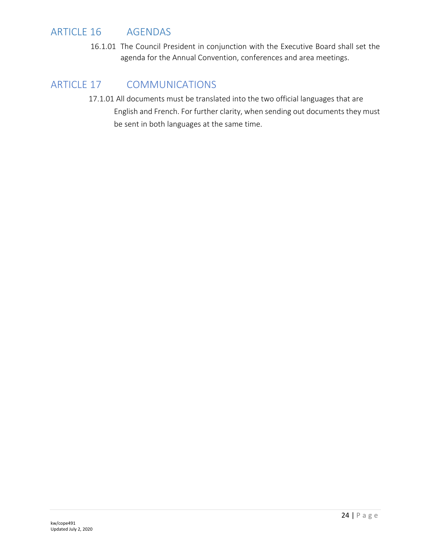## ARTICLE 16 AGENDAS

16.1.01 The Council President in conjunction with the Executive Board shall set the agenda for the Annual Convention, conferences and area meetings.

## ARTICLE 17 COMMUNICATIONS

17.1.01 All documents must be translated into the two official languages that are English and French. For further clarity, when sending out documents they must be sent in both languages at the same time.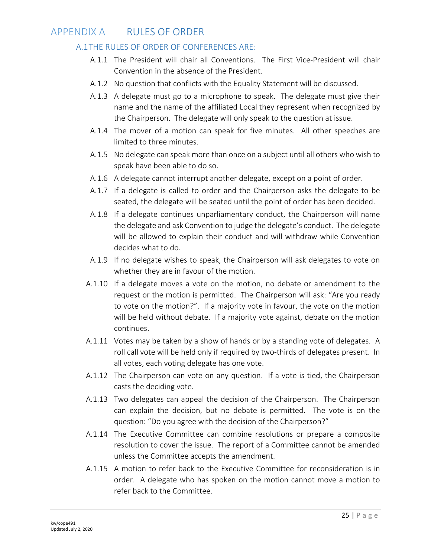## <span id="page-24-0"></span>APPENDIX A RULES OF ORDER

#### A.1THE RULES OF ORDER OF CONFERENCES ARE:

- A.1.1 The President will chair all Conventions. The First Vice-President will chair Convention in the absence of the President.
- A.1.2 No question that conflicts with the Equality Statement will be discussed.
- A.1.3 A delegate must go to a microphone to speak. The delegate must give their name and the name of the affiliated Local they represent when recognized by the Chairperson. The delegate will only speak to the question at issue.
- A.1.4 The mover of a motion can speak for five minutes. All other speeches are limited to three minutes.
- A.1.5 No delegate can speak more than once on a subject until all others who wish to speak have been able to do so.
- A.1.6 A delegate cannot interrupt another delegate, except on a point of order.
- A.1.7 If a delegate is called to order and the Chairperson asks the delegate to be seated, the delegate will be seated until the point of order has been decided.
- A.1.8 If a delegate continues unparliamentary conduct, the Chairperson will name the delegate and ask Convention to judge the delegate's conduct. The delegate will be allowed to explain their conduct and will withdraw while Convention decides what to do.
- A.1.9 If no delegate wishes to speak, the Chairperson will ask delegates to vote on whether they are in favour of the motion.
- A.1.10 If a delegate moves a vote on the motion, no debate or amendment to the request or the motion is permitted. The Chairperson will ask: "Are you ready to vote on the motion?". If a majority vote in favour, the vote on the motion will be held without debate. If a majority vote against, debate on the motion continues.
- A.1.11 Votes may be taken by a show of hands or by a standing vote of delegates. A roll call vote will be held only if required by two-thirds of delegates present. In all votes, each voting delegate has one vote.
- A.1.12 The Chairperson can vote on any question. If a vote is tied, the Chairperson casts the deciding vote.
- A.1.13 Two delegates can appeal the decision of the Chairperson. The Chairperson can explain the decision, but no debate is permitted. The vote is on the question: "Do you agree with the decision of the Chairperson?"
- A.1.14 The Executive Committee can combine resolutions or prepare a composite resolution to cover the issue. The report of a Committee cannot be amended unless the Committee accepts the amendment.
- A.1.15 A motion to refer back to the Executive Committee for reconsideration is in order. A delegate who has spoken on the motion cannot move a motion to refer back to the Committee.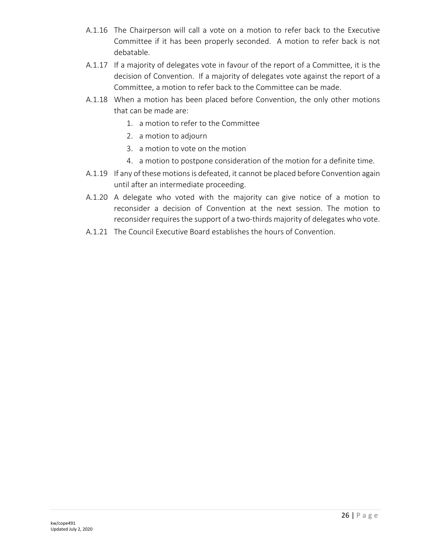- A.1.16 The Chairperson will call a vote on a motion to refer back to the Executive Committee if it has been properly seconded. A motion to refer back is not debatable.
- A.1.17 If a majority of delegates vote in favour of the report of a Committee, it is the decision of Convention. If a majority of delegates vote against the report of a Committee, a motion to refer back to the Committee can be made.
- A.1.18 When a motion has been placed before Convention, the only other motions that can be made are:
	- 1. a motion to refer to the Committee
	- 2. a motion to adjourn
	- 3. a motion to vote on the motion
	- 4. a motion to postpone consideration of the motion for a definite time.
- A.1.19 If any of these motions is defeated, it cannot be placed before Convention again until after an intermediate proceeding.
- A.1.20 A delegate who voted with the majority can give notice of a motion to reconsider a decision of Convention at the next session. The motion to reconsider requires the support of a two-thirds majority of delegates who vote.
- A.1.21 The Council Executive Board establishes the hours of Convention.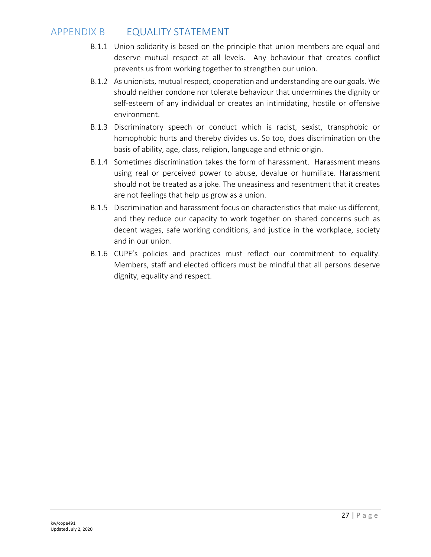## APPENDIX B EQUALITY STATEMENT

- B.1.1 Union solidarity is based on the principle that union members are equal and deserve mutual respect at all levels. Any behaviour that creates conflict prevents us from working together to strengthen our union.
- B.1.2 As unionists, mutual respect, cooperation and understanding are our goals. We should neither condone nor tolerate behaviour that undermines the dignity or self-esteem of any individual or creates an intimidating, hostile or offensive environment.
- B.1.3 Discriminatory speech or conduct which is racist, sexist, transphobic or homophobic hurts and thereby divides us. So too, does discrimination on the basis of ability, age, class, religion, language and ethnic origin.
- B.1.4 Sometimes discrimination takes the form of harassment. Harassment means using real or perceived power to abuse, devalue or humiliate. Harassment should not be treated as a joke. The uneasiness and resentment that it creates are not feelings that help us grow as a union.
- B.1.5 Discrimination and harassment focus on characteristics that make us different, and they reduce our capacity to work together on shared concerns such as decent wages, safe working conditions, and justice in the workplace, society and in our union.
- B.1.6 CUPE's policies and practices must reflect our commitment to equality. Members, staff and elected officers must be mindful that all persons deserve dignity, equality and respect.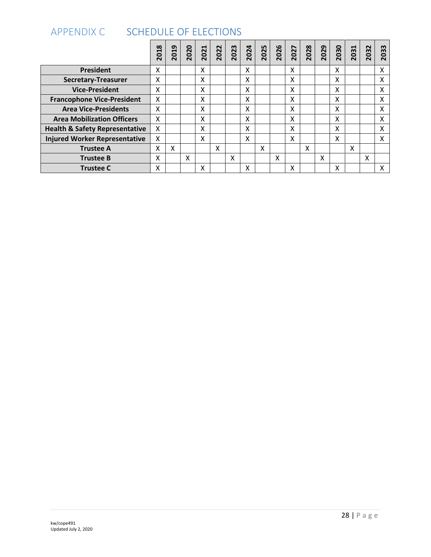<span id="page-27-0"></span>

| <b>SCHEDULE OF ELECTIONS</b><br><b>APPENDIX C</b> |      |      |      |      |      |      |      |      |      |      |      |      |      |      |      |      |
|---------------------------------------------------|------|------|------|------|------|------|------|------|------|------|------|------|------|------|------|------|
|                                                   | 2018 | 2019 | 2020 | 2021 | 2022 | 2023 | 2024 | 2025 | 2026 | 2027 | 2028 | 2029 | 2030 | 2031 | 2032 | 2033 |
| <b>President</b>                                  | X    |      |      | X    |      |      | X    |      |      | X    |      |      | Χ    |      |      | Χ    |
| <b>Secretary-Treasurer</b>                        | X    |      |      | X    |      |      | X    |      |      | X    |      |      | χ    |      |      | X    |
| <b>Vice-President</b>                             | X    |      |      | X    |      |      | Χ    |      |      | X    |      |      | Χ    |      |      | Χ    |
| <b>Francophone Vice-President</b>                 | X    |      |      | X    |      |      | X    |      |      | X    |      |      | χ    |      |      | X    |
| <b>Area Vice-Presidents</b>                       | X    |      |      | X    |      |      | Χ    |      |      | X    |      |      | x    |      |      | Χ    |
| <b>Area Mobilization Officers</b>                 | X    |      |      | X    |      |      | x    |      |      | X    |      |      | χ    |      |      | X    |
| <b>Health &amp; Safety Representative</b>         | X    |      |      | X    |      |      | x    |      |      | X    |      |      | χ    |      |      | X    |
| <b>Injured Worker Representative</b>              | x    |      |      | X    |      |      | X    |      |      | X    |      |      | Χ    |      |      | X    |
| <b>Trustee A</b>                                  | Χ    | X    |      |      | X    |      |      | X    |      |      | X    |      |      | X    |      |      |
| <b>Trustee B</b>                                  | X    |      | χ    |      |      | X    |      |      | X    |      |      | X    |      |      | X    |      |
| <b>Trustee C</b>                                  | Χ    |      |      | Χ    |      |      | Χ    |      |      | X    |      |      | Χ    |      |      | Χ    |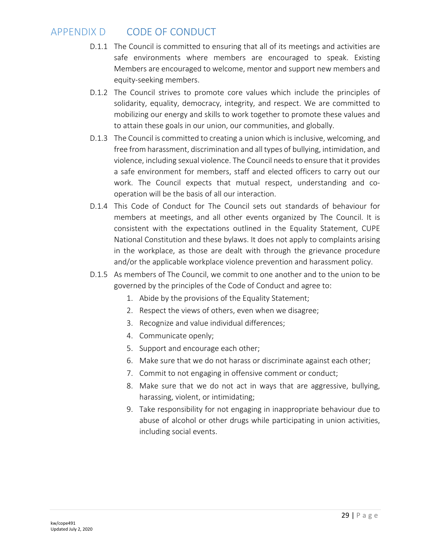## APPENDIX D CODE OF CONDUCT

- D.1.1 The Council is committed to ensuring that all of its meetings and activities are safe environments where members are encouraged to speak. Existing Members are encouraged to welcome, mentor and support new members and equity-seeking members.
- D.1.2 The Council strives to promote core values which include the principles of solidarity, equality, democracy, integrity, and respect. We are committed to mobilizing our energy and skills to work together to promote these values and to attain these goals in our union, our communities, and globally.
- D.1.3 The Council is committed to creating a union which is inclusive, welcoming, and free from harassment, discrimination and all types of bullying, intimidation, and violence, including sexual violence. The Council needs to ensure that it provides a safe environment for members, staff and elected officers to carry out our work. The Council expects that mutual respect, understanding and cooperation will be the basis of all our interaction.
- D.1.4 This Code of Conduct for The Council sets out standards of behaviour for members at meetings, and all other events organized by The Council. It is consistent with the expectations outlined in the Equality Statement, CUPE National Constitution and these bylaws. It does not apply to complaints arising in the workplace, as those are dealt with through the grievance procedure and/or the applicable workplace violence prevention and harassment policy.
- D.1.5 As members of The Council, we commit to one another and to the union to be governed by the principles of the Code of Conduct and agree to:
	- 1. Abide by the provisions of the Equality Statement;
	- 2. Respect the views of others, even when we disagree;
	- 3. Recognize and value individual differences;
	- 4. Communicate openly;
	- 5. Support and encourage each other;
	- 6. Make sure that we do not harass or discriminate against each other;
	- 7. Commit to not engaging in offensive comment or conduct;
	- 8. Make sure that we do not act in ways that are aggressive, bullying, harassing, violent, or intimidating;
	- 9. Take responsibility for not engaging in inappropriate behaviour due to abuse of alcohol or other drugs while participating in union activities, including social events.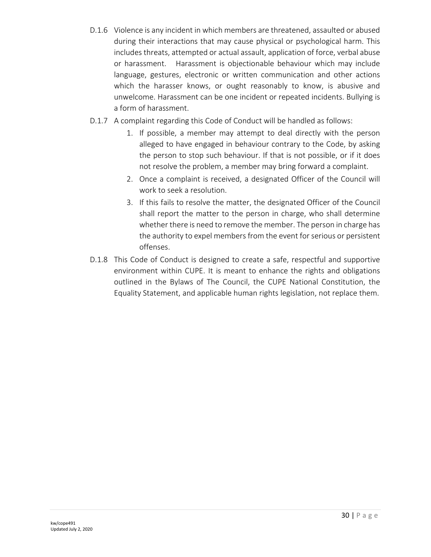- D.1.6 Violence is any incident in which members are threatened, assaulted or abused during their interactions that may cause physical or psychological harm. This includes threats, attempted or actual assault, application of force, verbal abuse or harassment. Harassment is objectionable behaviour which may include language, gestures, electronic or written communication and other actions which the harasser knows, or ought reasonably to know, is abusive and unwelcome. Harassment can be one incident or repeated incidents. Bullying is a form of harassment.
- D.1.7 A complaint regarding this Code of Conduct will be handled as follows:
	- 1. If possible, a member may attempt to deal directly with the person alleged to have engaged in behaviour contrary to the Code, by asking the person to stop such behaviour. If that is not possible, or if it does not resolve the problem, a member may bring forward a complaint.
	- 2. Once a complaint is received, a designated Officer of the Council will work to seek a resolution.
	- 3. If this fails to resolve the matter, the designated Officer of the Council shall report the matter to the person in charge, who shall determine whether there is need to remove the member. The person in charge has the authority to expel members from the event for serious or persistent offenses.
- D.1.8 This Code of Conduct is designed to create a safe, respectful and supportive environment within CUPE. It is meant to enhance the rights and obligations outlined in the Bylaws of The Council, the CUPE National Constitution, the Equality Statement, and applicable human rights legislation, not replace them.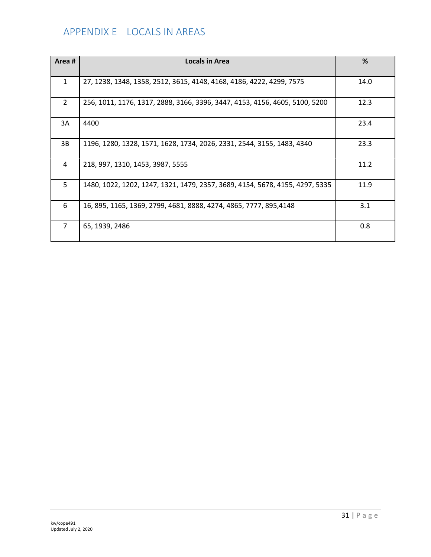## APPENDIX E LOCALS IN AREAS

| Area#          | Locals in Area                                                               | %    |
|----------------|------------------------------------------------------------------------------|------|
| $\mathbf{1}$   | 27, 1238, 1348, 1358, 2512, 3615, 4148, 4168, 4186, 4222, 4299, 7575         | 14.0 |
| $\overline{2}$ | 256, 1011, 1176, 1317, 2888, 3166, 3396, 3447, 4153, 4156, 4605, 5100, 5200  | 12.3 |
| 3A             | 4400                                                                         | 23.4 |
| 3B             | 1196, 1280, 1328, 1571, 1628, 1734, 2026, 2331, 2544, 3155, 1483, 4340       | 23.3 |
| 4              | 218, 997, 1310, 1453, 3987, 5555                                             | 11.2 |
| 5              | 1480, 1022, 1202, 1247, 1321, 1479, 2357, 3689, 4154, 5678, 4155, 4297, 5335 | 11.9 |
| 6              | 16, 895, 1165, 1369, 2799, 4681, 8888, 4274, 4865, 7777, 895,4148            | 3.1  |
| 7              | 65, 1939, 2486                                                               | 0.8  |